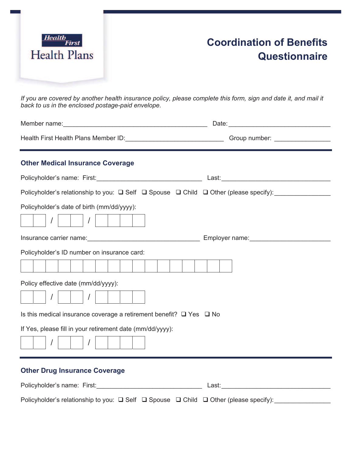

## **Coordination of Benefits Questionnaire**

*If you are covered by another health insurance policy, please complete this form, sign and date it, and mail it back to us in the enclosed postage-paid envelope.* 

| <b>Other Medical Insurance Coverage</b>                                                             |  |  |  |
|-----------------------------------------------------------------------------------------------------|--|--|--|
|                                                                                                     |  |  |  |
| Policyholder's relationship to you: Q Self Q Spouse Q Child Q Other (please specify): _____________ |  |  |  |
| Policyholder's date of birth (mm/dd/yyyy):<br>$\vert$ $\vert$                                       |  |  |  |
|                                                                                                     |  |  |  |
| Policyholder's ID number on insurance card:                                                         |  |  |  |
|                                                                                                     |  |  |  |
| Policy effective date (mm/dd/yyyy):                                                                 |  |  |  |
| Is this medical insurance coverage a retirement benefit? $\Box$ Yes $\Box$ No                       |  |  |  |
| If Yes, please fill in your retirement date (mm/dd/yyyy):                                           |  |  |  |
| <b>Other Drug Insurance Coverage</b>                                                                |  |  |  |

| Policyholder's name: First: | Last:                                                                                                     |  |
|-----------------------------|-----------------------------------------------------------------------------------------------------------|--|
|                             | Policyholder's relationship to you: $\Box$ Self $\Box$ Spouse $\Box$ Child $\Box$ Other (please specify): |  |